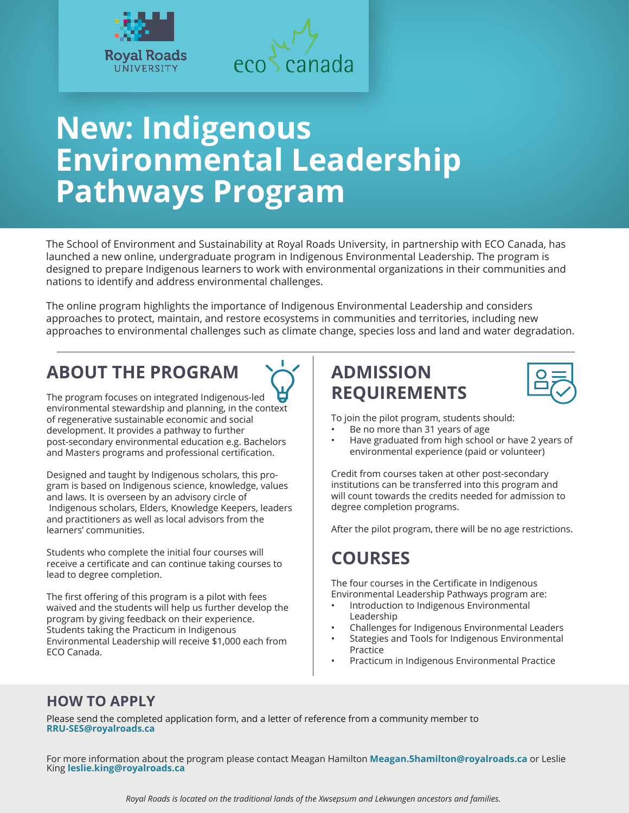



# **New: Indigenous Environmental Leadership Pathways Program**

The School of Environment and Sustainability at Royal Roads University, in partnership with ECO Canada, has launched a new online, undergraduate program in Indigenous Environmental Leadership. The program is designed to prepare Indigenous learners to work with environmental organizations in their communities and nations to identify and address environmental challenges.

The online program highlights the importance of Indigenous Environmental Leadership and considers approaches to protect, maintain, and restore ecosystems in communities and territories, including new approaches to environmental challenges such as climate change, species loss and land and water degradation.

## **ABOUT THE PROGRAM**

The program focuses on integrated Indigenous-led environmental stewardship and planning, in the context of regenerative sustainable economic and social development. It provides a pathway to further post-secondary environmental education e.g. Bachelors and Masters programs and professional certification.

Designed and taught by Indigenous scholars, this program is based on Indigenous science, knowledge, values and laws. It is overseen by an advisory circle of Indigenous scholars, Elders, Knowledge Keepers, leaders and practitioners as well as local advisors from the learners' communities.

Students who complete the initial four courses will receive a certificate and can continue taking courses to lead to degree completion.

The first offering of this program is a pilot with fees waived and the students will help us further develop the program by giving feedback on their experience. Students taking the Practicum in Indigenous Environmental Leadership will receive \$1,000 each from ECO Canada.

## **ADMISSION REQUIREMENTS**



To join the pilot program, students should:

- Be no more than 31 years of age
- Have graduated from high school or have 2 years of environmental experience (paid or volunteer)

Credit from courses taken at other post-secondary institutions can be transferred into this program and will count towards the credits needed for admission to degree completion programs.

After the pilot program, there will be no age restrictions.

### **COURSES**

The four courses in the Certificate in Indigenous Environmental Leadership Pathways program are:

- Introduction to Indigenous Environmental Leadership
- Challenges for Indigenous Environmental Leaders
- Stategies and Tools for Indigenous Environmental Practice
- Practicum in Indigenous Environmental Practice

### **HOW TO APPLY**

Please send the completed application form, and a letter of reference from a community member to **RRU-SES@royalroads.ca**

For more information about the program please contact Meagan Hamilton **Meagan.5hamilton@royalroads.ca** or Leslie King **leslie.king@royalroads.ca**